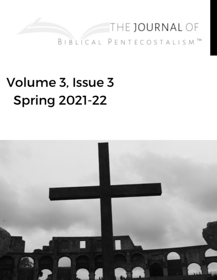# THE JOURNAL OF BIBLICAL PENTECOSTALISM<sup>TM</sup>

# Volume 3, Issue 3 **Spring 2021-22**

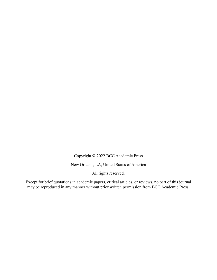Copyright © 2022 BCC Academic Press

New Orleans, LA, United States of America

All rights reserved.

Except for brief quotations in academic papers, critical articles, or reviews, no part of this journal may be reproduced in any manner without prior written permission from BCC Academic Press.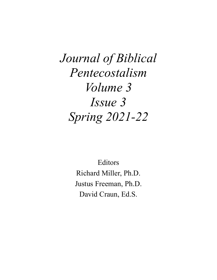*Journal of Biblical Pentecostalism Volume 3 Issue 3 Spring 2021-22*

> Editors Richard Miller, Ph.D. Justus Freeman, Ph.D. David Craun, Ed.S.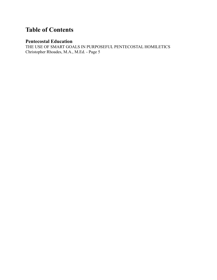## **Table of Contents**

#### **Pentecostal Education**

THE USE OF SMART GOALS IN PURPOSEFUL PENTECOSTAL HOMILETICS Christopher Rhoades, M.A., M.Ed. - Page 5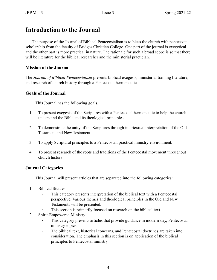### **Introduction to the Journal**

The purpose of the Journal of Biblical Pentecostalism is to bless the church with pentecostal scholarship from the faculty of Bridges Christian College. One part of the journal is exegetical and the other part is more practical in nature. The rationale for such a broad scope is so that there will be literature for the biblical researcher and the ministerial practician.

#### **Mission of the Journal**

The *Journal of Biblical Pentecostalism* presents biblical exegesis, ministerial training literature, and research of church history through a Pentecostal hermeneutic.

#### **Goals of the Journal**

This Journal has the following goals.

- 1. To present exegesis of the Scriptures with a Pentecostal hermeneutic to help the church understand the Bible and its theological principles.
- 2. To demonstrate the unity of the Scriptures through intertextual interpretation of the Old Testament and New Testament.
- 3. To apply Scriptural principles to a Pentecostal, practical ministry environment.
- 4. To present research of the roots and traditions of the Pentecostal movement throughout church history.

#### **Journal Categories**

This Journal will present articles that are separated into the following categories:

- 1. Biblical Studies
	- This category presents interpretation of the biblical text with a Pentecostal perspective. Various themes and theological principles in the Old and New Testaments will be presented.
	- This section is primarily focused on research on the biblical text.
- 2. Spirit-Empowered Ministry
	- This category presents articles that provide guidance in modern-day, Pentecostal ministry topics.
	- ⁃ The biblical text, historical concerns, and Pentecostal doctrines are taken into consideration. The emphasis in this section is on application of the biblical principles to Pentecostal ministry.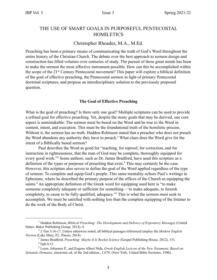#### THE USE OF SMART GOALS IN PURPOSEFUL PENTECOSTAL **HOMILETICS**

#### Christopher Rhoades, M.A., M.Ed.

Preaching has been a primary means of communicating the truth of God's Word throughout the entire history of the Christian Church. The debate over the best approach to sermon design and construction has filled volumes over centuries of study. The pursuit of these great minds has been to make the sermon the most effective instrument possible. How can this be accomplished within the scope of the 21st Century Pentecostal movement? This paper will explore a biblical definition of the goal of effective preaching, the Pentecostal sermon in light of primary Pentecostal doctrinal scriptures, and propose an interdisciplinary solution to the previously proposed question.

#### **The Goal of Effective Preaching**

What is the goal of preaching? Is there only one goal? Multiple scriptures can be used to provide a refined goal for effective preaching. Yet, despite the many goals that may be derived, one core aspect is unmistakable: The sermon must be based on the Word and be true to the Word in content, intent, and execution. This must be the foundational truth of the homiletic process. Without it, the sermon has no truth. Haddon Robinson stated that a preacher who does not preach the Word abandons any authority they have to preach.<sup>1</sup> What clues does the Word give for the intent of a Biblically based sermon?

Paul describes the Word as good for "teaching, for reproof, for correction, and for instruction in righteousness, that the man of God may be complete, thoroughly equipped for every good work."2 Some authors, such as Dr. James Bradford, have used this scripture as a definition of the types or purposes of preaching that exist.<sup>3</sup> This may certainly be the case. However, this scripture also serves to define the goal of the Word applied regardless of the type of sermon: To complete and equip God's people. This same mentality echoes Paul's writings in Ephesians, where he described the primary purpose of the offices of the Church as equipping the saints.<sup>4</sup> An appropriate definition of the Greek word for equipping used here is "to make someone completely adequate or sufficient for something—'to make adequate, to furnish completely, to cause to be fully qualified, adequacy."5 This is what the sermon must seek to accomplish. We must be satisfied with nothing less than the complete equipping of the listener to do the work of the Body of Christ.

<sup>&</sup>lt;sup>1</sup> Haddon Robinson, *Biblical Preaching: The Development and Delivery of Expository Messages* (United States: Baker Publishing Group, 2014), 4.

<sup>2</sup> 2 Tim 3:16-17, Unless otherwise noted, all biblical passages referenced employ the *Modern English Version* (Lake Mary, FL: Passio, 2014).

<sup>3</sup> James Bradford, *Preaching: Maybe It Is Rocket Science* (Gospel Publishing House, 2012), 151. 4 Eph 4:12

<sup>5</sup> Louw, Johannes P., and Eugene Albert Nida, *Greek-English Lexicon of the New Testament: Based on Semantic Domains*, electronic ed. of the 2nd edition., 1:679. (New York: United Bible Societies, 1996).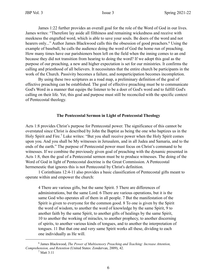James 1:22 further provides an overall goal for the role of the Word of God in our lives. James writes: "Therefore lay aside all filthiness and remaining wickedness and receive with meekness the engrafted word, which is able to save your souls. Be doers of the word and not hearers only..." Author James Blackwood calls this the obsession of good preachers.<sup>6</sup> Using the example of baseball, he calls the audience doing the word of God the home run of preaching. How many times have our parishioners been left on the field when the inning comes to an end because they did not transition from hearing to doing the word? If we adopt this goal as the purpose of our preaching, a new and higher expectation is set for our ministries. It confirms the calling and priesthood of all believers. It necessitates that the entire church be participants in the work of the Church. Passivity becomes a failure, and nonparticipation becomes incompletion.

By using these two scriptures as a road map, a preliminary definition of the goal of effective preaching can be established. The goal of effective preaching must be to communicate God's Word in a manner that equips the listener to be a doer of God's word and to fulfill God's calling on their life. Yet, this goal and purpose must still be reconciled with the specific context of Pentecostal theology.

#### **The Pentecostal Sermon in Light of Pentecostal Theology**

Acts 1:8 provides Christ's purpose for Pentecostal power. The significance of this cannot be overstated since Christ is described by John the Baptist as being the one who baptizes us in the Holy Spirit and Fire.7 Luke writes: "But you shall receive power when the Holy Spirit comes upon you. And you shall be My witnesses in Jerusalem, and in all Judea and Samaria, and to the ends of the earth." The purpose of Pentecostal power must focus on Christ's command to be witnesses. If we combine the previously given goal of preaching with the dynamic presented in Acts 1:8, then the goal of a Pentecostal sermon must be to produce witnesses. The doing of the Word of God in light of Pentecostal doctrine is the Great Commission. A Pentecostal hermeneutic that ignores this is not Pentecostal by Christ's definition.

1 Corinthians 12:4-11 also provides a basic classification of Pentecostal gifts meant to operate within and empower the church:

4 There are various gifts, but the same Spirit. 5 There are differences of administrations, but the same Lord. 6 There are various operations, but it is the same God who operates all of them in all people. 7 But the manifestation of the Spirit is given to everyone for the common good. 8 To one is given by the Spirit the word of wisdom, to another the word of knowledge by the same Spirit, 9 to another faith by the same Spirit, to another gifts of healings by the same Spirit, 10 to another the working of miracles, to another prophecy, to another discerning of spirits, to another various kinds of tongues, and to another the interpretation of tongues. 11 But that one and very same Spirit works all these, dividing to each one individually as He will.

<sup>6</sup> James Blackwood, *The Power of Multisensory Preaching and Teaching: Increase Attention, Comprehension, and Retention* (United States: Zondervan, 2009), 42.

<sup>7</sup> Matt 3:11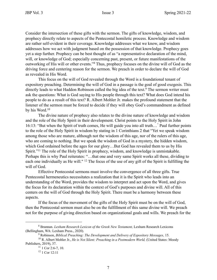Consider the intersection of these gifts with the sermon. The gifts of knowledge, wisdom, and prophecy directly relate to aspects of the Pentecostal homiletic process. Knowledge and wisdom are rather self-evident in their coverage. Knowledge addresses what we know, and wisdom addresses how we act with judgment based on the possession of that knowledge. Prophecy goes yet a step further. Prophecy can be best thought of as "a representative declaration of the mind, will, or knowledge of God; especially concerning past, present, or future manifestations of the outworking of His will or other events."8 Thus, prophecy focuses on the divine will of God as the driving force and centering reason for the sermon. We preach in order to declare the will of God as revealed in His Word.

This focus on the will of God revealed through the Word is a foundational tenant of expository preaching. Determining the will of God in a passage is the goal of good exegesis. This directly leads to what Haddon Robinson called the big idea of the text.<sup>9</sup> The sermon writer must ask the questions: What is God saying to His people through this text? What does God intend his people to do as a result of this text? R. Albert Mohler Jr. makes the profound statement that the listener of the sermon must be forced to decide if they will obey God's commandment as defined by his Word.<sup>10</sup>

The divine nature of prophecy also relates to the divine nature of knowledge and wisdom and the role of the Holy Spirit in their development. Christ points to the Holy Spirit in John 16:13: "But when the Spirit of truth comes, He will guide you into all truth…" Paul further points to the role of the Holy Spirit in wisdom by stating in 1 Corinthians 2 that "Yet we speak wisdom among those who are mature, although not the wisdom of this age, nor of the rulers of this age, who are coming to nothing. But we speak the wisdom of God in a mystery, the hidden wisdom, which God ordained before the ages for our glory…But God has revealed them to us by His Spirit."<sup>11</sup> The role of the Holy Spirit in prophecy, wisdom, and knowledge is unmistakable. Perhaps this is why Paul reiterates: "…that one and very same Spirit works all these, dividing to each one individually as He will." <sup>12</sup> The focus of the use of any gift of the Spirit is fulfilling the will of God.

Effective Pentecostal sermons must involve the convergence of all three gifts. True Pentecostal hermeneutics necessitates a realization that it is the Spirit who leads into an understanding of the Word, provides the wisdom to interpret and act upon the Word, and gives the focus for its declaration within the context of God's purposes and divine will. All of this centers on the will of God through the Holy Spirit. There must be a harmony between these aspects.

If the focus of the movement of the gifts of the Holy Spirit must be on the will of God, then the Pentecostal sermon must also be on the fulfillment of this same divine will. We preach not for the purpose of giving direction based on organizational goals and wills. We preach for the

<sup>&</sup>lt;sup>8</sup> Brannan. *Lexham Research Lexicon of the Greek New Testament*, Lexham Research Lexicons (Bellingham, WA: Lexham Press., 2020).

<sup>9</sup> Robinson, *Biblical Preaching: The Development and Delivery of Expository Messages,* 15.

<sup>10</sup> R. Albert Mohler Jr., *He is Not Silent: Preaching in a Postmodern World,* (United States: Moody Publishers, 2019), 37.

 $11$  1 Cor 2:6-7, 10.

<sup>12 1</sup> Cor 12:11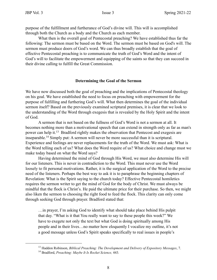purpose of the fulfillment and furtherance of God's divine will. This will is accomplished through both the Church as a body and the Church as each member.

What then is the overall goal of Pentecostal preaching? We have established thus far the following: The sermon must be based on the Word. The sermon must be based on God's will. The sermon must produce doers of God's word. We can thus broadly establish that the goal of effective Pentecostal preaching is to communicate the truth of God's Word and the intent of God's will to facilitate the empowerment and equipping of the saints so that they can succeed in their divine calling to fulfill the Great Commission.

#### **Determining the Goal of the Sermon**

We have now discussed both the goal of preaching and the implications of Pentecostal theology on his goal. We have established the need to focus on preaching with empowerment for the purpose of fulfilling and furthering God's will. What then determines the goal of the individual sermon itself? Based on the previously examined scriptural premises, it is clear that we look to the understanding of the Word through exegesis that is revealed by the Holy Spirit and the intent of God.

A sermon that is not based on the fullness of God's Word is not a sermon at all. It becomes nothing more than a motivational speech that can extend in strength only as far as man's power can help it.13 Bradford rightly makes the observation that Pentecost and exegesis are inseparable.14 Simply put: A sermon will never be more successful than it is scriptural. Experience and feelings are never replacements for the truth of the Word. We must ask: What is the Word telling each of us? What does the Word require of us? What choice and change must we make today based on what the Word says?

Having determined the mind of God through His Word, we must also determine His will for our listeners. This is never in contradiction to the Word. This must never use the Word loosely to fit personal motivations. Rather, it is the surgical application of the Word to the precise need of the listeners. Perhaps the best way to ask it is to paraphrase the beginning chapters of Revelation: What is the Spirit saying to the church today? Effective Pentecostal homiletics requires the sermon writer to get the mind of God for the body of Christ. We must always be mindful that the flock is Christ's. He paid the ultimate price for their purchase. So then, we might also liken the sermon to choosing the right food to feed the flock. This clarity can only come through seeking God through prayer. Bradford stated that:

…in prayer, I'm asking God to identify what should take place behind His pulpit that day. "What is it that You really want to say to these people this week?" We have to exegete not only the text but what God is doing spiritually among His people and in their lives…no matter how eloquently I vocalize my outline, it's not a good message unless God's Spirit speaks specifically to real issues in people's

<sup>13</sup> Haddon Robinson, *Biblical Preaching: The Development and Delivery of Expository Messages*, 7.

<sup>14</sup> Bradford, *Preaching: Maybe It Is Rocket Science,* 443*.*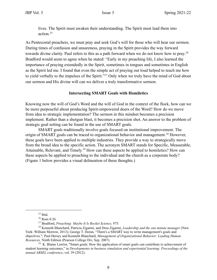lives. The Spirit must awaken their understanding. The Spirit must lead them into action<sup>15</sup>

As Pentecostal preachers, we must pray and seek God's will for those who will hear our sermon. During times of confusion and unsureness, praying in the Spirit provides the way forward towards divine clarity. Paul refers to this as a path forward when we do not know how to pray.16 Bradford would seem to agree when he stated: "Early in my preaching life, I also learned the importance of praying extendedly in the Spirit, sometimes in tongues and sometimes in English as the Spirit led me. I found that even the simple act of praying out loud helped to teach me how to yield verbally to the impulses of the Spirit."17 Only when we truly have the mind of God about our sermon and His divine will can we deliver a truly transformative sermon.

#### **Intersecting SMART Goals with Homiletics**

Knowing now the will of God's Word and the will of God in the context of the flock, how can we be more purposeful about producing Spirit-empowered doers of the Word? How do we move from idea to strategic implementation? The sermon in this mindset becomes a precision implement. Rather than a shotgun blast, it becomes a precision shot. An answer to the problem of strategic goal setting can be found in the use of SMART goals.

SMART goals traditionally involve goals focused on institutional improvement. The origin of SMART goals can be traced to organizational behavior and management.<sup>18</sup> However, these goals have been applied to multiple industries. They provide a way to strategically move from the broad idea to the specific action. The acronym SMART stands for Specific, Measurable, Attainable, Relevant, and Timely.19 How can these aspects be applied to homiletics? How can these aspects be applied to preaching to the individual and the church as a corporate body? (Figure 1 below provides a visual delineation of these thoughts.)

 $15$  Ibid.

<sup>16</sup> Rom 8:26

<sup>17</sup> Bradford, *Preaching: Maybe It Is Rocket Science,* 975*.*

<sup>18</sup> Kenneth Blanchard, Patricia Zigarmi, and Drea Zigarmi, *Leadership and the one minute manager* (New York: William Morrow, 2013); George T. Doran, "There's a SMART way to write management's goals and objectives."; Paul Hersey and Kenneth Blanchard, *Management of Organizational Behavior: Leading Human Resources,* Ninth Edition (Pearson College Div, Sep. 2007).

 $19\,$  K. Blaine Lawlor, "Smart goals: How the application of smart goals can contribute to achievement of student learning outcomes," in *Developments in business simulation and experiential learning: Proceedings of the annual ABSEL conference*, vol. 39 (2012).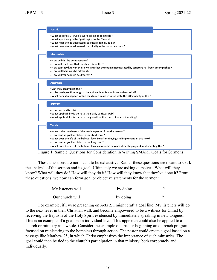| • How can they know in their own lives that the change necessitated by scripture has been accomplished? |
|---------------------------------------------------------------------------------------------------------|
|                                                                                                         |
|                                                                                                         |
|                                                                                                         |
|                                                                                                         |
|                                                                                                         |
| • What does the life of the believer look like months or years after obeying and implementing this?     |
|                                                                                                         |

Figure 1: Sample Questions for Consideration in Writing SMART Goals for Sermons

These questions are not meant to be exhaustive. Rather these questions are meant to spark the analysis of the sermon and its goal. Ultimately we are asking ourselves: What will they know? What will they do? How will they do it? How will they know that they've done it? From these questions, we now can form goal or objective statements for the sermon:

> My listeners will \_\_\_\_\_\_\_\_\_\_\_\_\_\_\_\_\_\_\_\_\_\_ by doing \_\_\_\_\_\_\_\_\_\_\_\_\_? Our church will by doing \_\_\_\_\_\_\_\_\_\_\_?

For example, if I were preaching on Acts 2, I might craft a goal like: My listeners will go to the next level in their Christian walk and become empowered to be a witness for Christ by receiving the Baptism of the Holy Spirit evidenced by immediately speaking in new tongues. This is an example of a goal on an individual level. This approach could also be applied to a church or ministry as a whole. Consider the example of a pastor beginning an outreach program focused on ministering to the homeless through action. The pastor could create a goal based on a passage like Matthew 25, in which Christ emphasizes the importance of such ministries. The goal could then be tied to the church's participation in that ministry, both corporately and individually.